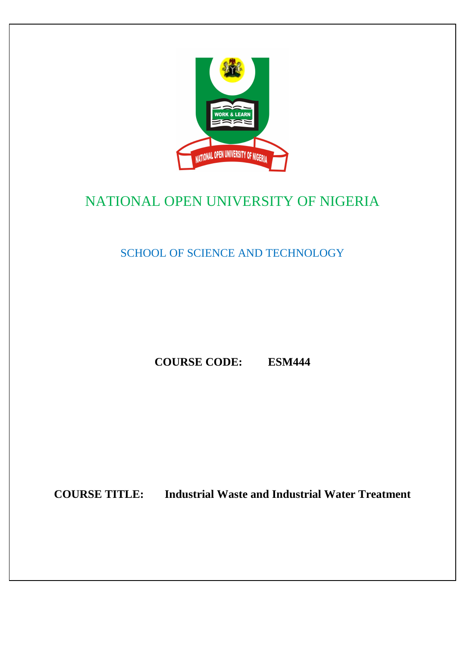

# NATIONAL OPEN UNIVERSITY OF NIGERIA

SCHOOL OF SCIENCE AND TECHNOLOGY

**COURSE CODE: ESM444** 

**COURSE TITLE: Industrial Waste and Industrial Water Treatment**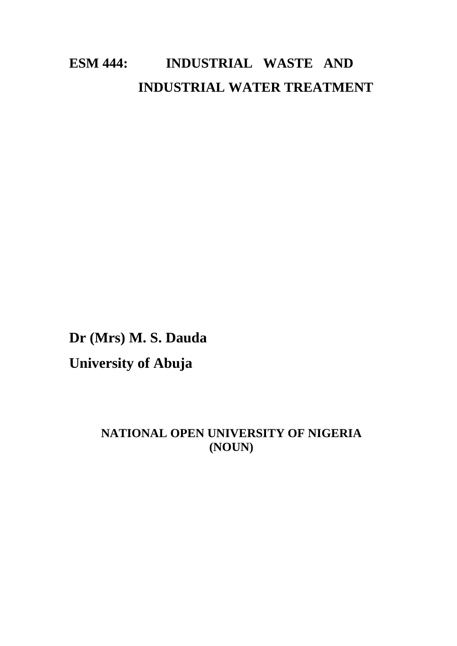# **ESM 444: INDUSTRIAL WASTE AND INDUSTRIAL WATER TREATMENT**

**Dr (Mrs) M. S. Dauda University of Abuja** 

## **NATIONAL OPEN UNIVERSITY OF NIGERIA (NOUN)**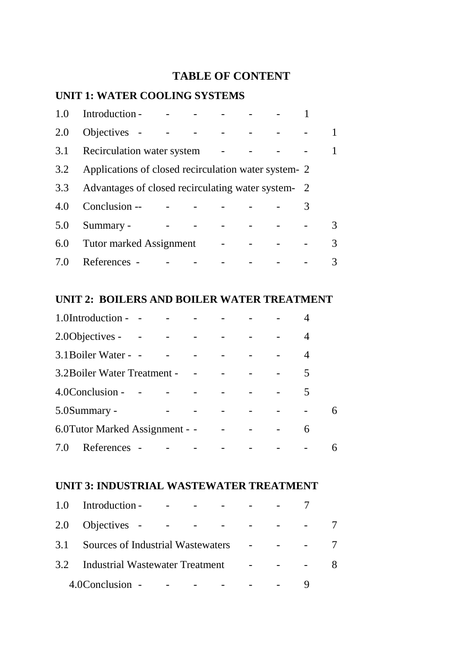## **TABLE OF CONTENT**

## **UNIT 1: WATER COOLING SYSTEMS**

| 1.0 | Introduction -                                       |  |  |   |  |
|-----|------------------------------------------------------|--|--|---|--|
| 2.0 | Objectives -                                         |  |  |   |  |
| 3.1 | Recirculation water system                           |  |  |   |  |
| 3.2 | Applications of closed recirculation water system- 2 |  |  |   |  |
| 3.3 | Advantages of closed recirculating water system-2    |  |  |   |  |
| 4.0 | Conclusion --                                        |  |  | 3 |  |
| 5.0 | Summary -                                            |  |  |   |  |
| 6.0 | Tutor marked Assignment                              |  |  |   |  |
| 7.0 | References                                           |  |  |   |  |

## **UNIT 2: BOILERS AND BOILER WATER TREATMENT**

|     | 1.0Introduction - -             |  |  |  |   |  |
|-----|---------------------------------|--|--|--|---|--|
|     | 2.00 bjectives -                |  |  |  |   |  |
|     | 3.1 Boiler Water - -            |  |  |  |   |  |
|     | 3.2 Boiler Water Treatment -    |  |  |  | 5 |  |
|     | 4.0Conclusion -                 |  |  |  | 5 |  |
|     | 5.0Summary -                    |  |  |  |   |  |
|     | 6.0 Tutor Marked Assignment - - |  |  |  | 6 |  |
| 7.0 | References                      |  |  |  |   |  |

## **UNIT 3: INDUSTRIAL WASTEWATER TREATMENT**

| 1.0 | Introduction -                      |  |   |
|-----|-------------------------------------|--|---|
|     | 2.0 Objectives - -                  |  |   |
| 3.1 | Sources of Industrial Wastewaters   |  |   |
|     | 3.2 Industrial Wastewater Treatment |  | 8 |
|     | 4.0Conclusion -                     |  |   |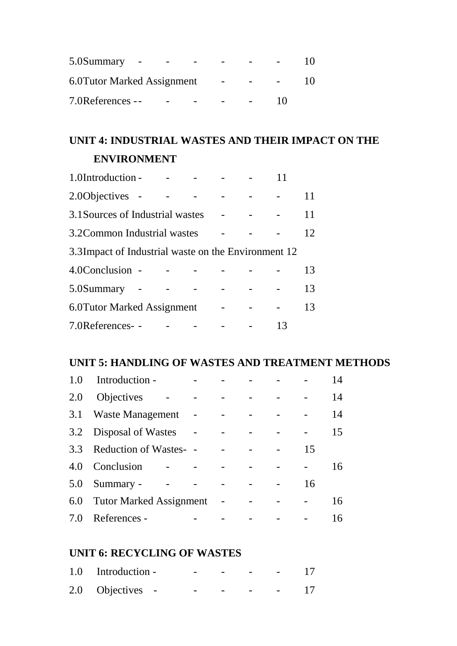| 5.0 Summary                 |  |    |  |
|-----------------------------|--|----|--|
| 6.0 Tutor Marked Assignment |  |    |  |
| 7.0References --            |  | 10 |  |

## **UNIT 4: INDUSTRIAL WASTES AND THEIR IMPACT ON THE ENVIRONMENT**

| 1.0Introduction -                                    |  |  |    |
|------------------------------------------------------|--|--|----|
| 2.00 bjectives -                                     |  |  |    |
| 3.1 Sources of Industrial wastes                     |  |  | 11 |
| 3.2 Common Industrial wastes                         |  |  | 12 |
| 3.3 Impact of Industrial waste on the Environment 12 |  |  |    |
| 4.0Conclusion -                                      |  |  | 13 |
| 5.0Summary                                           |  |  | 13 |
| 6.0 Tutor Marked Assignment                          |  |  | 13 |
| 7.0References--                                      |  |  |    |

## **UNIT 5: HANDLING OF WASTES AND TREATMENT METHODS**

| 1.0 | Introduction -                 |  |  |    | 14 |
|-----|--------------------------------|--|--|----|----|
| 2.0 | Objectives                     |  |  |    | 14 |
| 3.1 | Waste Management               |  |  |    | 14 |
| 3.2 | Disposal of Wastes             |  |  |    | 15 |
| 3.3 | <b>Reduction of Wastes-</b>    |  |  | 15 |    |
| 4.0 | Conclusion                     |  |  |    | 16 |
| 5.0 | Summary -                      |  |  | 16 |    |
| 6.0 | <b>Tutor Marked Assignment</b> |  |  |    | 16 |
| 7.0 | References -                   |  |  |    |    |

## **UNIT 6: RECYCLING OF WASTES**

| 1.0 Introduction - | - | - |   | <b>Service</b> |  |
|--------------------|---|---|---|----------------|--|
| 2.0 Objectives -   | - | - | - |                |  |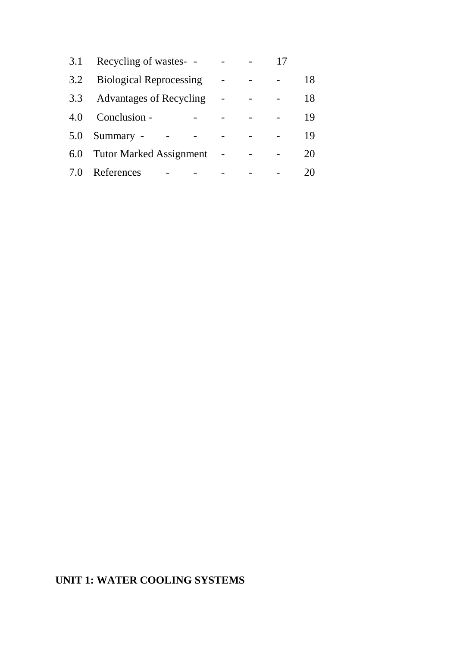| 3.1 | Recycling of wastes- -         |  |    |
|-----|--------------------------------|--|----|
| 3.2 | <b>Biological Reprocessing</b> |  | 18 |
| 3.3 | <b>Advantages of Recycling</b> |  | 18 |
| 4.0 | Conclusion -                   |  | 19 |
| 5.0 | Summary -                      |  | 19 |
| 6.0 | <b>Tutor Marked Assignment</b> |  | 20 |
| 7.0 | References                     |  |    |

## **UNIT 1: WATER COOLING SYSTEMS**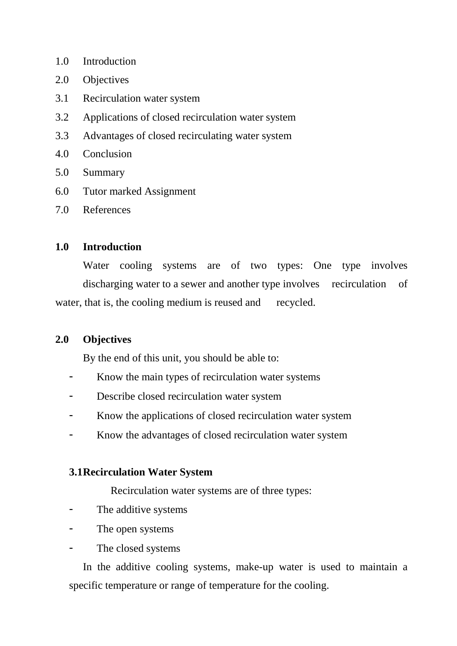- 1.0 Introduction
- 2.0 Objectives
- 3.1 Recirculation water system
- 3.2 Applications of closed recirculation water system
- 3.3 Advantages of closed recirculating water system
- 4.0 Conclusion
- 5.0 Summary
- 6.0 Tutor marked Assignment
- 7.0 References

### **1.0 Introduction**

Water cooling systems are of two types: One type involves discharging water to a sewer and another type involves recirculation of water, that is, the cooling medium is reused and recycled.

### **2.0 Objectives**

By the end of this unit, you should be able to:

- Know the main types of recirculation water systems
- Describe closed recirculation water system
- Know the applications of closed recirculation water system
- Know the advantages of closed recirculation water system

### **3.1 Recirculation Water System**

Recirculation water systems are of three types:

- The additive systems
- The open systems
- The closed systems

 In the additive cooling systems, make-up water is used to maintain a specific temperature or range of temperature for the cooling.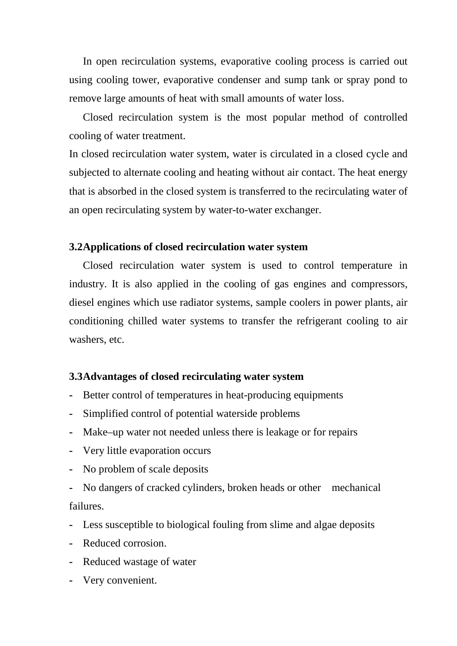In open recirculation systems, evaporative cooling process is carried out using cooling tower, evaporative condenser and sump tank or spray pond to remove large amounts of heat with small amounts of water loss.

 Closed recirculation system is the most popular method of controlled cooling of water treatment.

In closed recirculation water system, water is circulated in a closed cycle and subjected to alternate cooling and heating without air contact. The heat energy that is absorbed in the closed system is transferred to the recirculating water of an open recirculating system by water-to-water exchanger.

### **3.2 Applications of closed recirculation water system**

Closed recirculation water system is used to control temperature in industry. It is also applied in the cooling of gas engines and compressors, diesel engines which use radiator systems, sample coolers in power plants, air conditioning chilled water systems to transfer the refrigerant cooling to air washers, etc.

### **3.3 Advantages of closed recirculating water system**

- Better control of temperatures in heat-producing equipments
- **-** Simplified control of potential waterside problems
- **-** Make–up water not needed unless there is leakage or for repairs
- **-** Very little evaporation occurs
- **-** No problem of scale deposits
- **-** No dangers of cracked cylinders, broken heads or other mechanical failures.
- **-** Less susceptible to biological fouling from slime and algae deposits
- **-** Reduced corrosion.
- **-** Reduced wastage of water
- **-** Very convenient.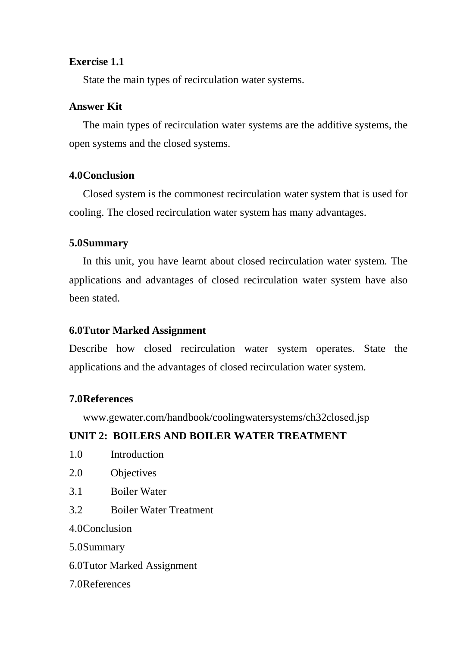### **Exercise 1.1**

State the main types of recirculation water systems.

### **Answer Kit**

 The main types of recirculation water systems are the additive systems, the open systems and the closed systems.

### **4.0 Conclusion**

 Closed system is the commonest recirculation water system that is used for cooling. The closed recirculation water system has many advantages.

### **5.0 Summary**

 In this unit, you have learnt about closed recirculation water system. The applications and advantages of closed recirculation water system have also been stated.

## **6.0 Tutor Marked Assignment**

Describe how closed recirculation water system operates. State the applications and the advantages of closed recirculation water system.

## **7.0 References**

www.gewater.com/handbook/coolingwatersystems/ch32closed.jsp

## **UNIT 2: BOILERS AND BOILER WATER TREATMENT**

- 1.0 Introduction
- 2.0 Objectives
- 3.1 Boiler Water
- 3.2 Boiler Water Treatment

4.0 Conclusion

5.0 Summary

6.0 Tutor Marked Assignment

7.0 References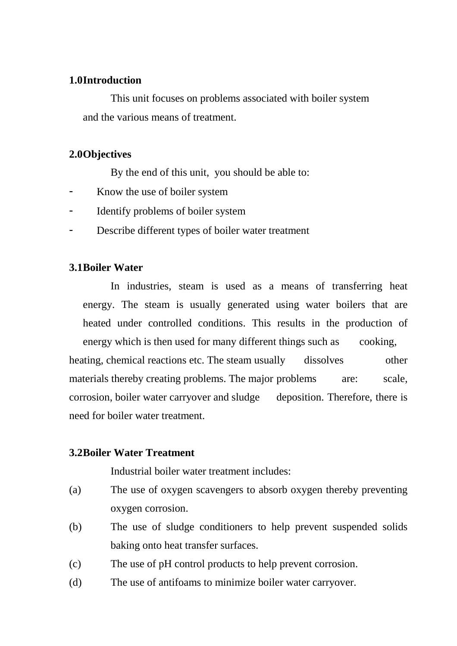### **1.0 Introduction**

This unit focuses on problems associated with boiler system and the various means of treatment.

### **2.0 Objectives**

By the end of this unit, you should be able to:

- Know the use of boiler system
- Identify problems of boiler system
- Describe different types of boiler water treatment

### **3.1 Boiler Water**

In industries, steam is used as a means of transferring heat energy. The steam is usually generated using water boilers that are heated under controlled conditions. This results in the production of energy which is then used for many different things such as cooking, heating, chemical reactions etc. The steam usually dissolves other materials thereby creating problems. The major problems are: scale, corrosion, boiler water carryover and sludge deposition. Therefore, there is need for boiler water treatment.

### **3.2 Boiler Water Treatment**

Industrial boiler water treatment includes:

- (a) The use of oxygen scavengers to absorb oxygen thereby preventing oxygen corrosion.
- (b) The use of sludge conditioners to help prevent suspended solids baking onto heat transfer surfaces.
- (c) The use of pH control products to help prevent corrosion.
- (d) The use of antifoams to minimize boiler water carryover.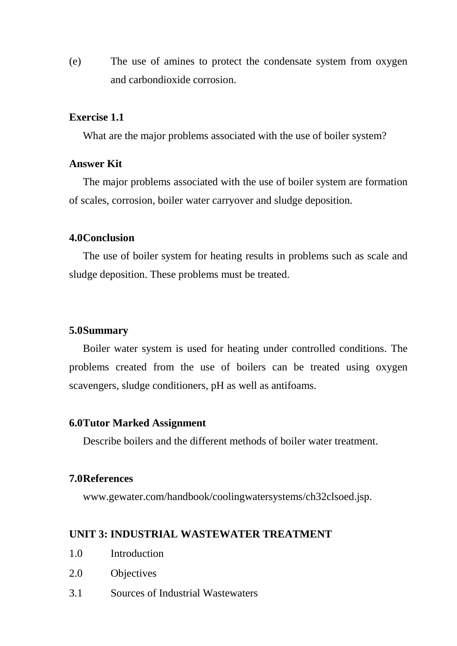(e) The use of amines to protect the condensate system from oxygen and carbondioxide corrosion.

### **Exercise 1.1**

What are the major problems associated with the use of boiler system?

### **Answer Kit**

 The major problems associated with the use of boiler system are formation of scales, corrosion, boiler water carryover and sludge deposition.

#### **4.0 Conclusion**

 The use of boiler system for heating results in problems such as scale and sludge deposition. These problems must be treated.

### **5.0 Summary**

Boiler water system is used for heating under controlled conditions. The problems created from the use of boilers can be treated using oxygen scavengers, sludge conditioners, pH as well as antifoams.

#### **6.0 Tutor Marked Assignment**

Describe boilers and the different methods of boiler water treatment.

### **7.0 References**

www.gewater.com/handbook/coolingwatersystems/ch32clsoed.jsp.

### **UNIT 3: INDUSTRIAL WASTEWATER TREATMENT**

- 1.0 Introduction
- 2.0 Objectives
- 3.1 Sources of Industrial Wastewaters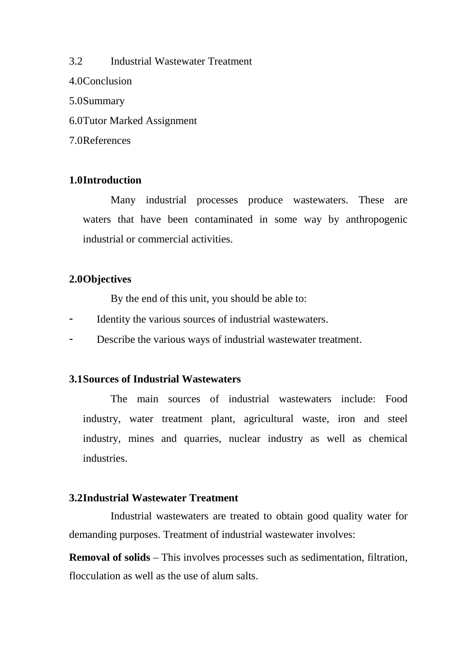3.2 Industrial Wastewater Treatment 4.0 Conclusion 5.0 Summary 6.0 Tutor Marked Assignment 7.0 References

### **1.0 Introduction**

 Many industrial processes produce wastewaters. These are waters that have been contaminated in some way by anthropogenic industrial or commercial activities.

### **2.0 Objectives**

By the end of this unit, you should be able to:

- Identity the various sources of industrial wastewaters.
- Describe the various ways of industrial wastewater treatment.

### **3.1 Sources of Industrial Wastewaters**

 The main sources of industrial wastewaters include: Food industry, water treatment plant, agricultural waste, iron and steel industry, mines and quarries, nuclear industry as well as chemical industries.

### **3.2 Industrial Wastewater Treatment**

Industrial wastewaters are treated to obtain good quality water for demanding purposes. Treatment of industrial wastewater involves:

**Removal of solids** – This involves processes such as sedimentation, filtration, flocculation as well as the use of alum salts.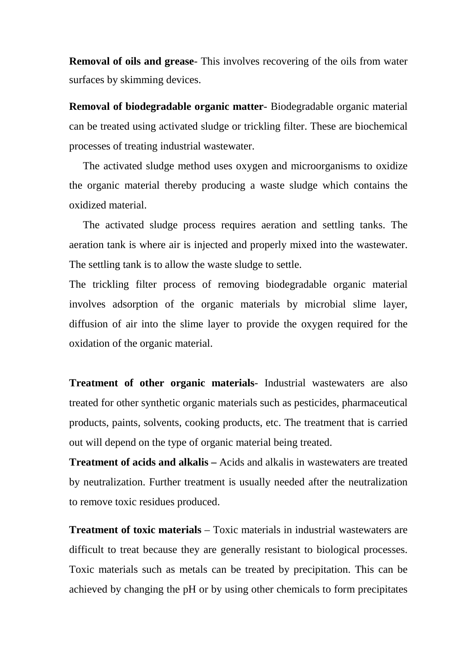**Removal of oils and grease**- This involves recovering of the oils from water surfaces by skimming devices.

**Removal of biodegradable organic matter**- Biodegradable organic material can be treated using activated sludge or trickling filter. These are biochemical processes of treating industrial wastewater.

The activated sludge method uses oxygen and microorganisms to oxidize the organic material thereby producing a waste sludge which contains the oxidized material.

 The activated sludge process requires aeration and settling tanks. The aeration tank is where air is injected and properly mixed into the wastewater. The settling tank is to allow the waste sludge to settle.

The trickling filter process of removing biodegradable organic material involves adsorption of the organic materials by microbial slime layer, diffusion of air into the slime layer to provide the oxygen required for the oxidation of the organic material.

**Treatment of other organic materials**- Industrial wastewaters are also treated for other synthetic organic materials such as pesticides, pharmaceutical products, paints, solvents, cooking products, etc. The treatment that is carried out will depend on the type of organic material being treated.

**Treatment of acids and alkalis –** Acids and alkalis in wastewaters are treated by neutralization. Further treatment is usually needed after the neutralization to remove toxic residues produced.

**Treatment of toxic materials** – Toxic materials in industrial wastewaters are difficult to treat because they are generally resistant to biological processes. Toxic materials such as metals can be treated by precipitation. This can be achieved by changing the pH or by using other chemicals to form precipitates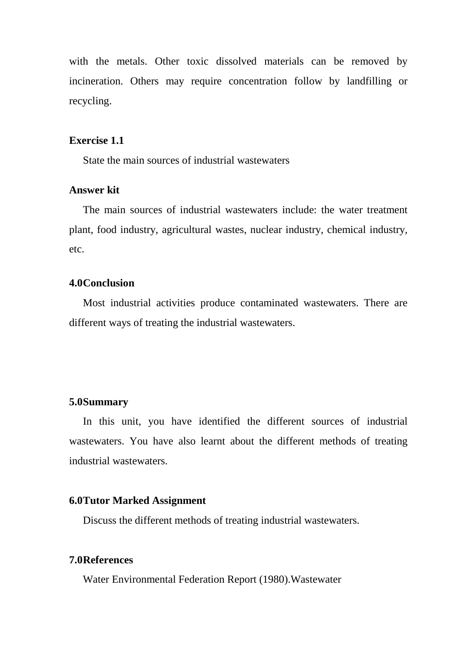with the metals. Other toxic dissolved materials can be removed by incineration. Others may require concentration follow by landfilling or recycling.

### **Exercise 1.1**

State the main sources of industrial wastewaters

### **Answer kit**

 The main sources of industrial wastewaters include: the water treatment plant, food industry, agricultural wastes, nuclear industry, chemical industry, etc.

### **4.0 Conclusion**

 Most industrial activities produce contaminated wastewaters. There are different ways of treating the industrial wastewaters.

### **5.0 Summary**

 In this unit, you have identified the different sources of industrial wastewaters. You have also learnt about the different methods of treating industrial wastewaters.

### **6.0 Tutor Marked Assignment**

Discuss the different methods of treating industrial wastewaters.

### **7.0 References**

Water Environmental Federation Report (1980).Wastewater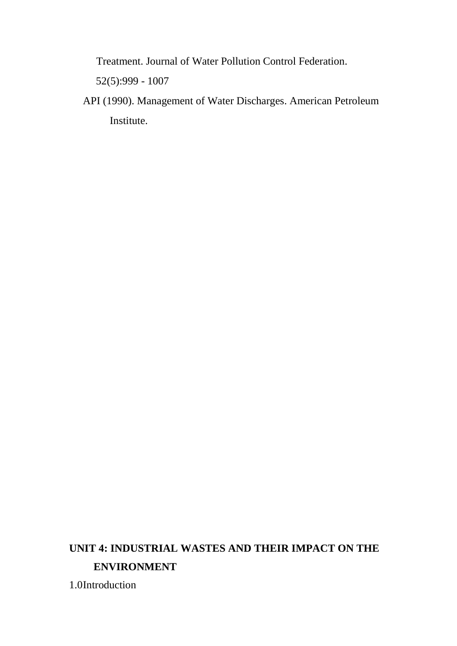Treatment. Journal of Water Pollution Control Federation.

52(5):999 - 1007

 API (1990). Management of Water Discharges. American Petroleum Institute.

## **UNIT 4: INDUSTRIAL WASTES AND THEIR IMPACT ON THE ENVIRONMENT**

1.0Introduction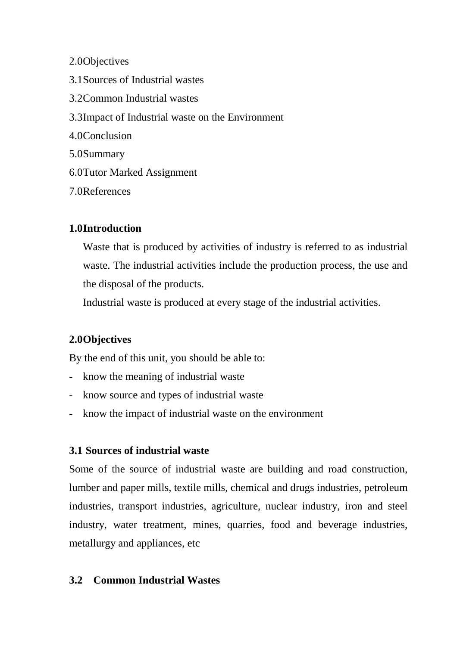2.0 Objectives

3.1 Sources of Industrial wastes 3.2 Common Industrial wastes 3.3 Impact of Industrial waste on the Environment 4.0 Conclusion 5.0 Summary 6.0 Tutor Marked Assignment 7.0 References

## **1.0 Introduction**

Waste that is produced by activities of industry is referred to as industrial waste. The industrial activities include the production process, the use and the disposal of the products.

Industrial waste is produced at every stage of the industrial activities.

## **2.0 Objectives**

By the end of this unit, you should be able to:

- know the meaning of industrial waste
- know source and types of industrial waste
- know the impact of industrial waste on the environment

## **3.1 Sources of industrial waste**

Some of the source of industrial waste are building and road construction, lumber and paper mills, textile mills, chemical and drugs industries, petroleum industries, transport industries, agriculture, nuclear industry, iron and steel industry, water treatment, mines, quarries, food and beverage industries, metallurgy and appliances, etc

## **3.2 Common Industrial Wastes**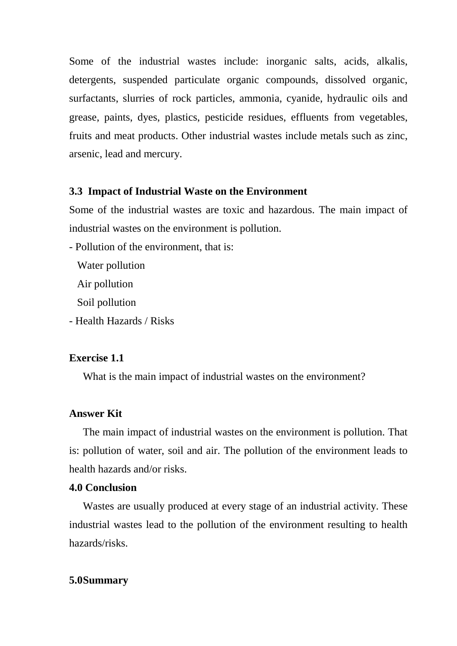Some of the industrial wastes include: inorganic salts, acids, alkalis, detergents, suspended particulate organic compounds, dissolved organic, surfactants, slurries of rock particles, ammonia, cyanide, hydraulic oils and grease, paints, dyes, plastics, pesticide residues, effluents from vegetables, fruits and meat products. Other industrial wastes include metals such as zinc, arsenic, lead and mercury.

### **3.3 Impact of Industrial Waste on the Environment**

Some of the industrial wastes are toxic and hazardous. The main impact of industrial wastes on the environment is pollution.

- Pollution of the environment, that is:

Water pollution

Air pollution

Soil pollution

- Health Hazards / Risks

### **Exercise 1.1**

What is the main impact of industrial wastes on the environment?

### **Answer Kit**

 The main impact of industrial wastes on the environment is pollution. That is: pollution of water, soil and air. The pollution of the environment leads to health hazards and/or risks.

### **4.0 Conclusion**

 Wastes are usually produced at every stage of an industrial activity. These industrial wastes lead to the pollution of the environment resulting to health hazards/risks.

## **5.0 Summary**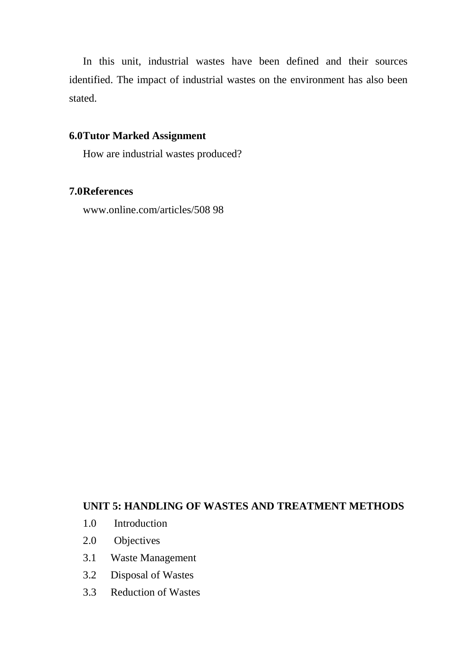In this unit, industrial wastes have been defined and their sources identified. The impact of industrial wastes on the environment has also been stated.

## **6.0 Tutor Marked Assignment**

How are industrial wastes produced?

### **7.0 References**

www.online.com/articles/508 98

### **UNIT 5: HANDLING OF WASTES AND TREATMENT METHODS**

- 1.0 Introduction
- 2.0 Objectives
- 3.1 Waste Management
- 3.2 Disposal of Wastes
- 3.3 Reduction of Wastes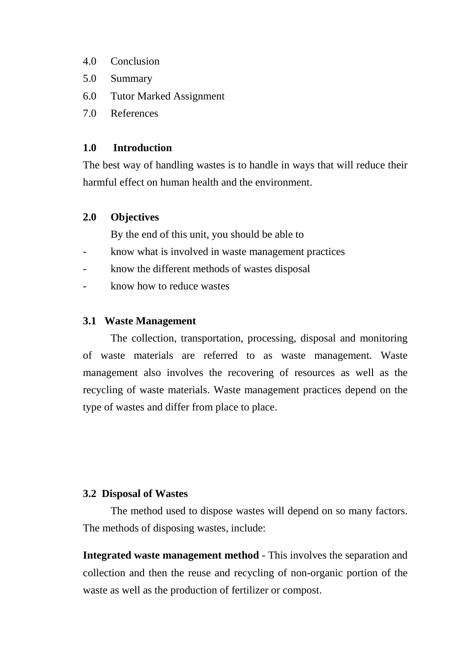- 4.0 Conclusion
- 5.0 Summary
- 6.0 Tutor Marked Assignment
- 7.0 References

### **1.0 Introduction**

The best way of handling wastes is to handle in ways that will reduce their harmful effect on human health and the environment.

### **2.0 Objectives**

By the end of this unit, you should be able to

- know what is involved in waste management practices
- know the different methods of wastes disposal
- know how to reduce wastes

### **3.1 Waste Management**

 The collection, transportation, processing, disposal and monitoring of waste materials are referred to as waste management. Waste management also involves the recovering of resources as well as the recycling of waste materials. Waste management practices depend on the type of wastes and differ from place to place.

### **3.2 Disposal of Wastes**

 The method used to dispose wastes will depend on so many factors. The methods of disposing wastes, include:

**Integrated waste management method** - This involves the separation and collection and then the reuse and recycling of non-organic portion of the waste as well as the production of fertilizer or compost.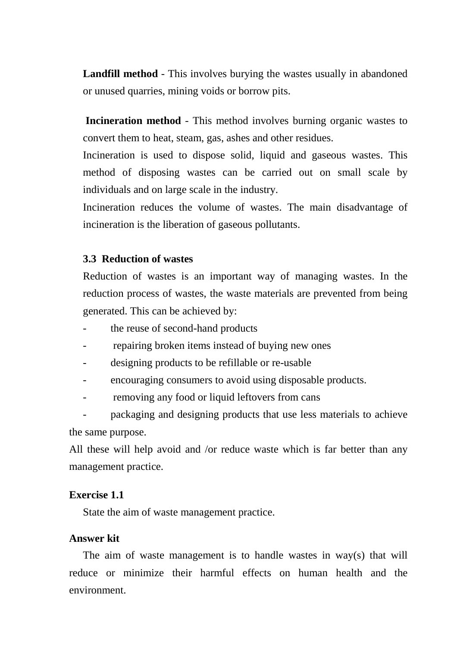**Landfill method** - This involves burying the wastes usually in abandoned or unused quarries, mining voids or borrow pits.

**Incineration method** - This method involves burning organic wastes to convert them to heat, steam, gas, ashes and other residues.

Incineration is used to dispose solid, liquid and gaseous wastes. This method of disposing wastes can be carried out on small scale by individuals and on large scale in the industry.

Incineration reduces the volume of wastes. The main disadvantage of incineration is the liberation of gaseous pollutants.

### **3.3 Reduction of wastes**

Reduction of wastes is an important way of managing wastes. In the reduction process of wastes, the waste materials are prevented from being generated. This can be achieved by:

- the reuse of second-hand products
- repairing broken items instead of buying new ones
- designing products to be refillable or re-usable
- encouraging consumers to avoid using disposable products.
- removing any food or liquid leftovers from cans

packaging and designing products that use less materials to achieve the same purpose.

All these will help avoid and /or reduce waste which is far better than any management practice.

### **Exercise 1.1**

State the aim of waste management practice.

### **Answer kit**

 The aim of waste management is to handle wastes in way(s) that will reduce or minimize their harmful effects on human health and the environment.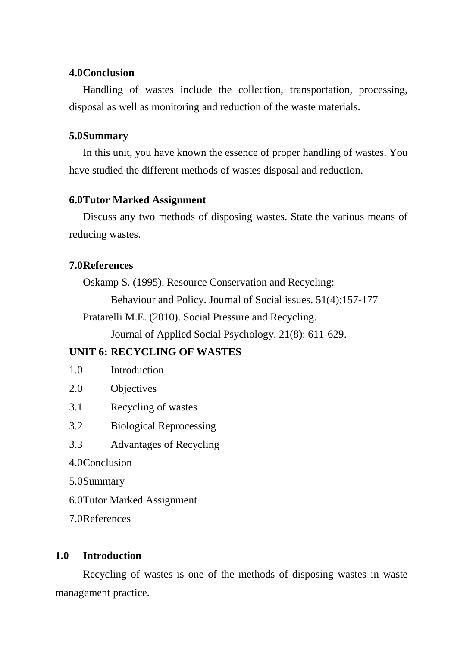### **4.0 Conclusion**

 Handling of wastes include the collection, transportation, processing, disposal as well as monitoring and reduction of the waste materials.

### **5.0 Summary**

 In this unit, you have known the essence of proper handling of wastes. You have studied the different methods of wastes disposal and reduction.

## **6.0 Tutor Marked Assignment**

Discuss any two methods of disposing wastes. State the various means of reducing wastes.

## **7.0 References**

Oskamp S. (1995). Resource Conservation and Recycling:

Behaviour and Policy. Journal of Social issues. 51(4):157-177

Pratarelli M.E. (2010). Social Pressure and Recycling.

Journal of Applied Social Psychology. 21(8): 611-629.

## **UNIT 6: RECYCLING OF WASTES**

- 1.0 Introduction
- 2.0 Objectives
- 3.1 Recycling of wastes
- 3.2 Biological Reprocessing
- 3.3 Advantages of Recycling
- 4.0 Conclusion
- 5.0 Summary
- 6.0 Tutor Marked Assignment
- 7.0 References

## **1.0 Introduction**

 Recycling of wastes is one of the methods of disposing wastes in waste management practice.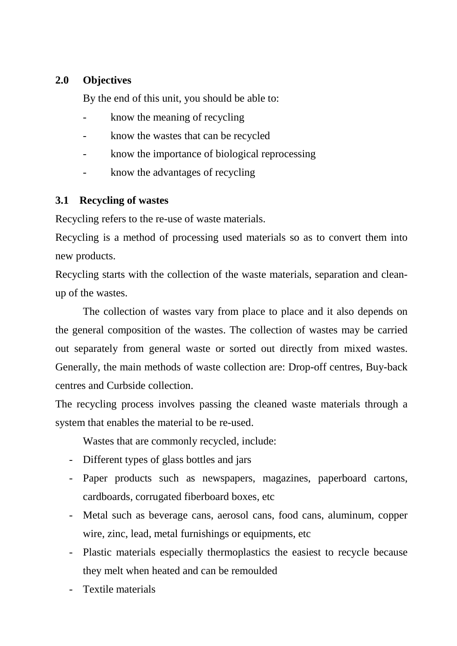## **2.0 Objectives**

By the end of this unit, you should be able to:

- know the meaning of recycling
- know the wastes that can be recycled
- know the importance of biological reprocessing
- know the advantages of recycling

### **3.1 Recycling of wastes**

Recycling refers to the re-use of waste materials.

Recycling is a method of processing used materials so as to convert them into new products.

Recycling starts with the collection of the waste materials, separation and cleanup of the wastes.

 The collection of wastes vary from place to place and it also depends on the general composition of the wastes. The collection of wastes may be carried out separately from general waste or sorted out directly from mixed wastes. Generally, the main methods of waste collection are: Drop-off centres, Buy-back centres and Curbside collection.

The recycling process involves passing the cleaned waste materials through a system that enables the material to be re-used.

Wastes that are commonly recycled, include:

- Different types of glass bottles and jars
- Paper products such as newspapers, magazines, paperboard cartons, cardboards, corrugated fiberboard boxes, etc
- Metal such as beverage cans, aerosol cans, food cans, aluminum, copper wire, zinc, lead, metal furnishings or equipments, etc
- Plastic materials especially thermoplastics the easiest to recycle because they melt when heated and can be remoulded
- Textile materials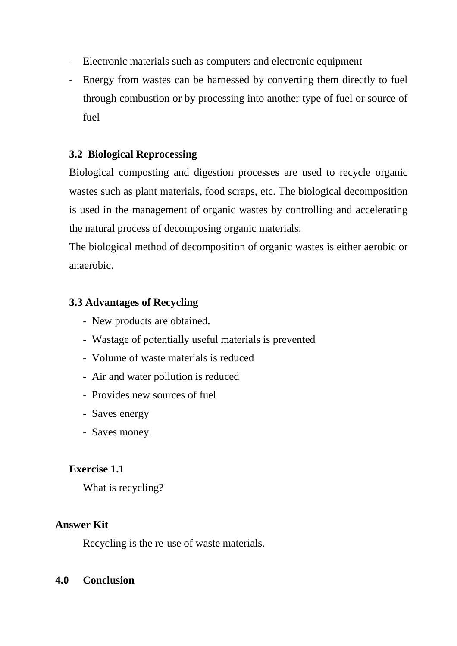- Electronic materials such as computers and electronic equipment
- Energy from wastes can be harnessed by converting them directly to fuel through combustion or by processing into another type of fuel or source of fuel

## **3.2 Biological Reprocessing**

Biological composting and digestion processes are used to recycle organic wastes such as plant materials, food scraps, etc. The biological decomposition is used in the management of organic wastes by controlling and accelerating the natural process of decomposing organic materials.

The biological method of decomposition of organic wastes is either aerobic or anaerobic.

## **3.3 Advantages of Recycling**

- New products are obtained.
- Wastage of potentially useful materials is prevented
- Volume of waste materials is reduced
- Air and water pollution is reduced
- Provides new sources of fuel
- Saves energy
- Saves money.

## **Exercise 1.1**

What is recycling?

### **Answer Kit**

Recycling is the re-use of waste materials.

### **4.0 Conclusion**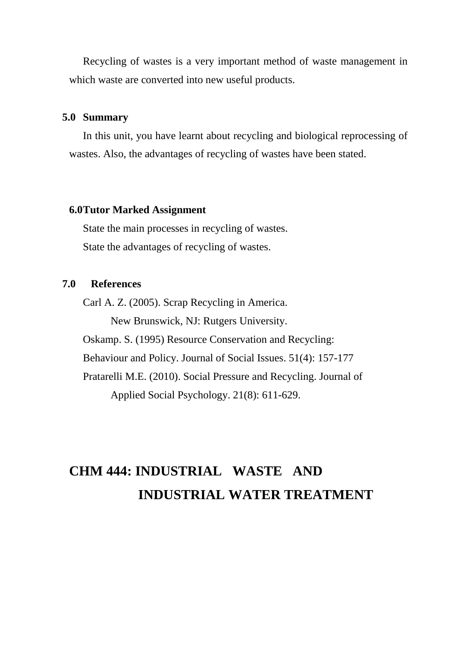Recycling of wastes is a very important method of waste management in which waste are converted into new useful products.

### **5.0 Summary**

In this unit, you have learnt about recycling and biological reprocessing of wastes. Also, the advantages of recycling of wastes have been stated.

### **6.0 Tutor Marked Assignment**

State the main processes in recycling of wastes. State the advantages of recycling of wastes.

### **7.0 References**

Carl A. Z. (2005). Scrap Recycling in America.

New Brunswick, NJ: Rutgers University.

Oskamp. S. (1995) Resource Conservation and Recycling:

Behaviour and Policy. Journal of Social Issues. 51(4): 157-177

 Pratarelli M.E. (2010). Social Pressure and Recycling. Journal of Applied Social Psychology. 21(8): 611-629.

# **CHM 444: INDUSTRIAL WASTE AND INDUSTRIAL WATER TREATMENT**